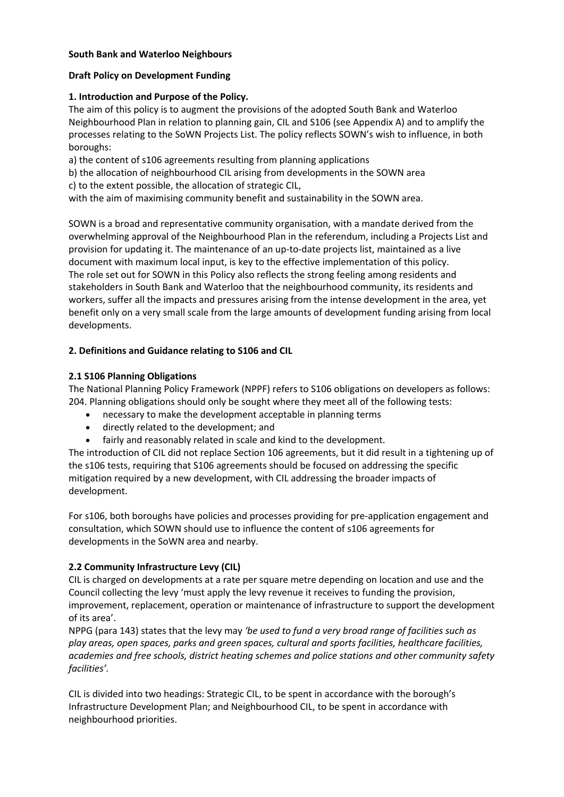### **South Bank and Waterloo Neighbours**

### **Draft Policy on Development Funding**

## **1. Introduction and Purpose of the Policy.**

The aim of this policy is to augment the provisions of the adopted South Bank and Waterloo Neighbourhood Plan in relation to planning gain, CIL and S106 (see Appendix A) and to amplify the processes relating to the SoWN Projects List. The policy reflects SOWN's wish to influence, in both boroughs:

a) the content of s106 agreements resulting from planning applications

b) the allocation of neighbourhood CIL arising from developments in the SOWN area c) to the extent possible, the allocation of strategic CIL,

with the aim of maximising community benefit and sustainability in the SOWN area.

SOWN is a broad and representative community organisation, with a mandate derived from the overwhelming approval of the Neighbourhood Plan in the referendum, including a Projects List and provision for updating it. The maintenance of an up-to-date projects list, maintained as a live document with maximum local input, is key to the effective implementation of this policy. The role set out for SOWN in this Policy also reflects the strong feeling among residents and stakeholders in South Bank and Waterloo that the neighbourhood community, its residents and workers, suffer all the impacts and pressures arising from the intense development in the area, yet benefit only on a very small scale from the large amounts of development funding arising from local developments.

# **2. Definitions and Guidance relating to S106 and CIL**

# **2.1 S106 Planning Obligations**

The National Planning Policy Framework (NPPF) refers to S106 obligations on developers as follows: 204. Planning obligations should only be sought where they meet all of the following tests:

- necessary to make the development acceptable in planning terms
- directly related to the development; and
- fairly and reasonably related in scale and kind to the development.

The introduction of CIL did not replace Section 106 agreements, but it did result in a tightening up of the s106 tests, requiring that S106 agreements should be focused on addressing the specific mitigation required by a new development, with CIL addressing the broader impacts of development.

For s106, both boroughs have policies and processes providing for pre-application engagement and consultation, which SOWN should use to influence the content of s106 agreements for developments in the SoWN area and nearby.

# **2.2 Community Infrastructure Levy (CIL)**

CIL is charged on developments at a rate per square metre depending on location and use and the Council collecting the levy 'must apply the levy revenue it receives to funding the provision, improvement, replacement, operation or maintenance of infrastructure to support the development of its area'.

NPPG (para 143) states that the levy may *'be used to fund a very broad range of facilities such as play areas, open spaces, parks and green spaces, cultural and sports facilities, healthcare facilities, academies and free schools, district heating schemes and police stations and other community safety facilities'.* 

CIL is divided into two headings: Strategic CIL, to be spent in accordance with the borough's Infrastructure Development Plan; and Neighbourhood CIL, to be spent in accordance with neighbourhood priorities.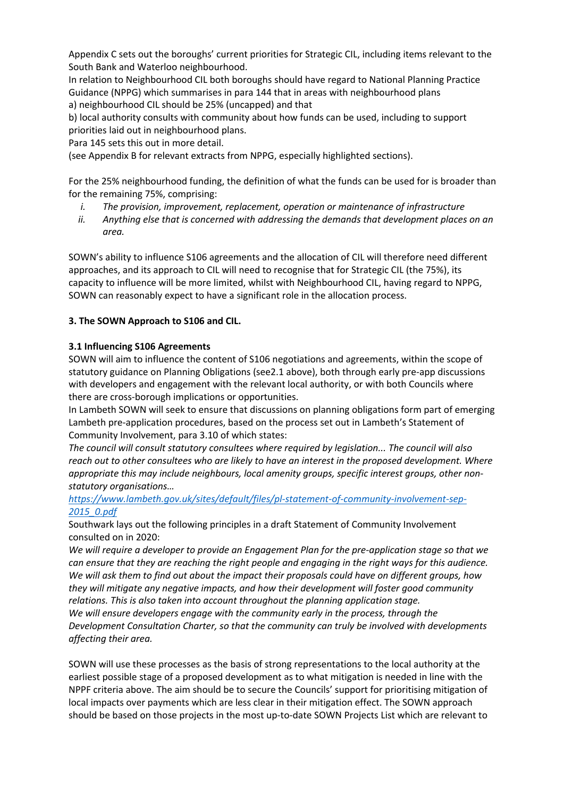Appendix C sets out the boroughs' current priorities for Strategic CIL, including items relevant to the South Bank and Waterloo neighbourhood.

In relation to Neighbourhood CIL both boroughs should have regard to National Planning Practice Guidance (NPPG) which summarises in para 144 that in areas with neighbourhood plans a) neighbourhood CIL should be 25% (uncapped) and that

b) local authority consults with community about how funds can be used, including to support priorities laid out in neighbourhood plans.

Para 145 sets this out in more detail.

(see Appendix B for relevant extracts from NPPG, especially highlighted sections).

For the 25% neighbourhood funding, the definition of what the funds can be used for is broader than for the remaining 75%, comprising:

- *i. The provision, improvement, replacement, operation or maintenance of infrastructure*
- *ii. Anything else that is concerned with addressing the demands that development places on an area.*

SOWN's ability to influence S106 agreements and the allocation of CIL will therefore need different approaches, and its approach to CIL will need to recognise that for Strategic CIL (the 75%), its capacity to influence will be more limited, whilst with Neighbourhood CIL, having regard to NPPG, SOWN can reasonably expect to have a significant role in the allocation process.

# **3. The SOWN Approach to S106 and CIL.**

# **3.1 Influencing S106 Agreements**

SOWN will aim to influence the content of S106 negotiations and agreements, within the scope of statutory guidance on Planning Obligations (see2.1 above), both through early pre-app discussions with developers and engagement with the relevant local authority, or with both Councils where there are cross-borough implications or opportunities.

In Lambeth SOWN will seek to ensure that discussions on planning obligations form part of emerging Lambeth pre-application procedures, based on the process set out in Lambeth's Statement of Community Involvement, para 3.10 of which states:

*The council will consult statutory consultees where required by legislation... The council will also reach out to other consultees who are likely to have an interest in the proposed development. Where appropriate this may include neighbours, local amenity groups, specific interest groups, other nonstatutory organisations…*

# *https://www.lambeth.gov.uk/sites/default/files/pl-statement-of-community-involvement-sep-2015\_0.pdf*

Southwark lays out the following principles in a draft Statement of Community Involvement consulted on in 2020:

*We will require a developer to provide an Engagement Plan for the pre-application stage so that we can ensure that they are reaching the right people and engaging in the right ways for this audience. We will ask them to find out about the impact their proposals could have on different groups, how they will mitigate any negative impacts, and how their development will foster good community relations. This is also taken into account throughout the planning application stage.* 

*We will ensure developers engage with the community early in the process, through the Development Consultation Charter, so that the community can truly be involved with developments affecting their area.*

SOWN will use these processes as the basis of strong representations to the local authority at the earliest possible stage of a proposed development as to what mitigation is needed in line with the NPPF criteria above. The aim should be to secure the Councils' support for prioritising mitigation of local impacts over payments which are less clear in their mitigation effect. The SOWN approach should be based on those projects in the most up-to-date SOWN Projects List which are relevant to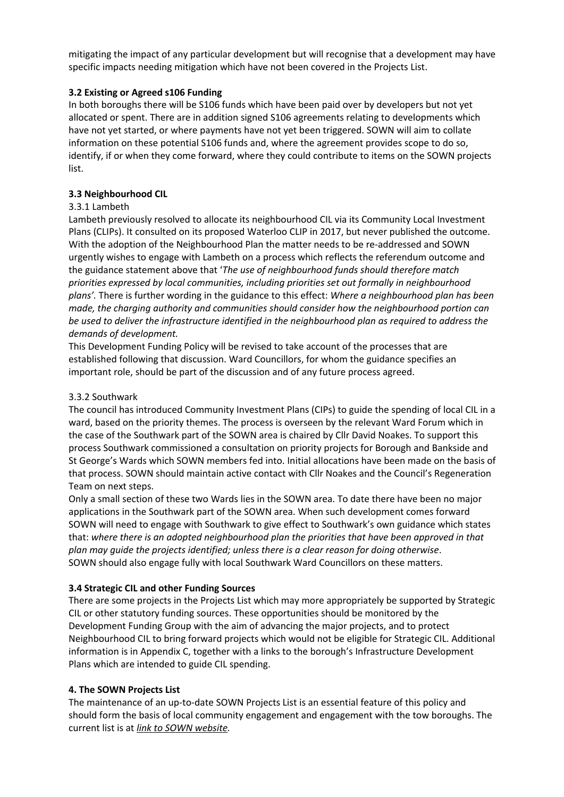mitigating the impact of any particular development but will recognise that a development may have specific impacts needing mitigation which have not been covered in the Projects List.

# **3.2 Existing or Agreed s106 Funding**

In both boroughs there will be S106 funds which have been paid over by developers but not yet allocated or spent. There are in addition signed S106 agreements relating to developments which have not yet started, or where payments have not yet been triggered. SOWN will aim to collate information on these potential S106 funds and, where the agreement provides scope to do so, identify, if or when they come forward, where they could contribute to items on the SOWN projects list.

# **3.3 Neighbourhood CIL**

# 3.3.1 Lambeth

Lambeth previously resolved to allocate its neighbourhood CIL via its Community Local Investment Plans (CLIPs). It consulted on its proposed Waterloo CLIP in 2017, but never published the outcome. With the adoption of the Neighbourhood Plan the matter needs to be re-addressed and SOWN urgently wishes to engage with Lambeth on a process which reflects the referendum outcome and the guidance statement above that '*The use of neighbourhood funds should therefore match priorities expressed by local communities, including priorities set out formally in neighbourhood plans'.* There is further wording in the guidance to this effect: *Where a neighbourhood plan has been made, the charging authority and communities should consider how the neighbourhood portion can be used to deliver the infrastructure identified in the neighbourhood plan as required to address the demands of development.*

This Development Funding Policy will be revised to take account of the processes that are established following that discussion. Ward Councillors, for whom the guidance specifies an important role, should be part of the discussion and of any future process agreed.

# 3.3.2 Southwark

The council has introduced Community Investment Plans (CIPs) to guide the spending of local CIL in a ward, based on the priority themes. The process is overseen by the relevant Ward Forum which in the case of the Southwark part of the SOWN area is chaired by Cllr David Noakes. To support this process Southwark commissioned a consultation on priority projects for Borough and Bankside and St George's Wards which SOWN members fed into. Initial allocations have been made on the basis of that process. SOWN should maintain active contact with Cllr Noakes and the Council's Regeneration Team on next steps.

Only a small section of these two Wards lies in the SOWN area. To date there have been no major applications in the Southwark part of the SOWN area. When such development comes forward SOWN will need to engage with Southwark to give effect to Southwark's own guidance which states that: *where there is an adopted neighbourhood plan the priorities that have been approved in that plan may guide the projects identified; unless there is a clear reason for doing otherwise*. SOWN should also engage fully with local Southwark Ward Councillors on these matters.

# **3.4 Strategic CIL and other Funding Sources**

There are some projects in the Projects List which may more appropriately be supported by Strategic CIL or other statutory funding sources. These opportunities should be monitored by the Development Funding Group with the aim of advancing the major projects, and to protect Neighbourhood CIL to bring forward projects which would not be eligible for Strategic CIL. Additional information is in Appendix C, together with a links to the borough's Infrastructure Development Plans which are intended to guide CIL spending.

# **4. The SOWN Projects List**

The maintenance of an up-to-date SOWN Projects List is an essential feature of this policy and should form the basis of local community engagement and engagement with the tow boroughs. The current list is at *link to SOWN website.*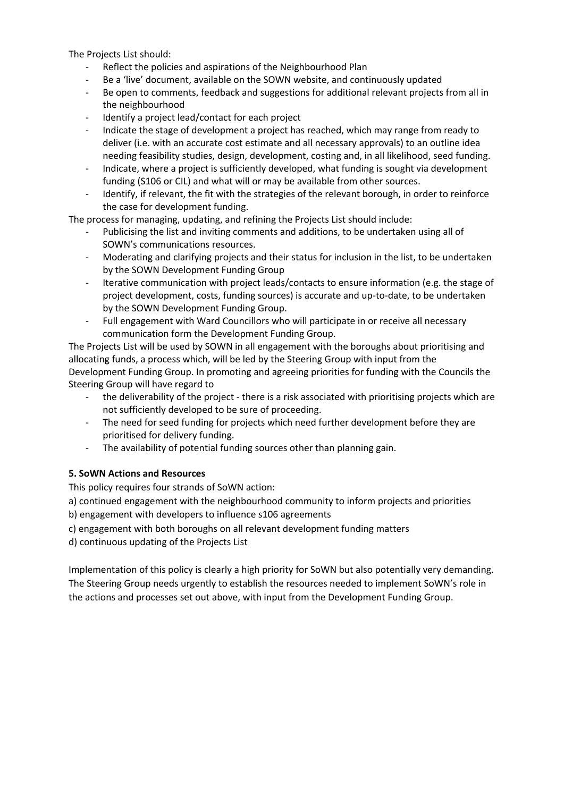The Projects List should:

- Reflect the policies and aspirations of the Neighbourhood Plan
- Be a 'live' document, available on the SOWN website, and continuously updated
- Be open to comments, feedback and suggestions for additional relevant projects from all in the neighbourhood
- Identify a project lead/contact for each project
- Indicate the stage of development a project has reached, which may range from ready to deliver (i.e. with an accurate cost estimate and all necessary approvals) to an outline idea needing feasibility studies, design, development, costing and, in all likelihood, seed funding.
- Indicate, where a project is sufficiently developed, what funding is sought via development funding (S106 or CIL) and what will or may be available from other sources.
- Identify, if relevant, the fit with the strategies of the relevant borough, in order to reinforce the case for development funding.

The process for managing, updating, and refining the Projects List should include:

- Publicising the list and inviting comments and additions, to be undertaken using all of SOWN's communications resources.
- Moderating and clarifying projects and their status for inclusion in the list, to be undertaken by the SOWN Development Funding Group
- Iterative communication with project leads/contacts to ensure information (e.g. the stage of project development, costs, funding sources) is accurate and up-to-date, to be undertaken by the SOWN Development Funding Group.
- Full engagement with Ward Councillors who will participate in or receive all necessary communication form the Development Funding Group.

The Projects List will be used by SOWN in all engagement with the boroughs about prioritising and allocating funds, a process which, will be led by the Steering Group with input from the Development Funding Group. In promoting and agreeing priorities for funding with the Councils the Steering Group will have regard to

- the deliverability of the project there is a risk associated with prioritising projects which are not sufficiently developed to be sure of proceeding.
- The need for seed funding for projects which need further development before they are prioritised for delivery funding.
- The availability of potential funding sources other than planning gain.

# **5. SoWN Actions and Resources**

This policy requires four strands of SoWN action:

a) continued engagement with the neighbourhood community to inform projects and priorities

b) engagement with developers to influence s106 agreements

c) engagement with both boroughs on all relevant development funding matters

d) continuous updating of the Projects List

Implementation of this policy is clearly a high priority for SoWN but also potentially very demanding. The Steering Group needs urgently to establish the resources needed to implement SoWN's role in the actions and processes set out above, with input from the Development Funding Group.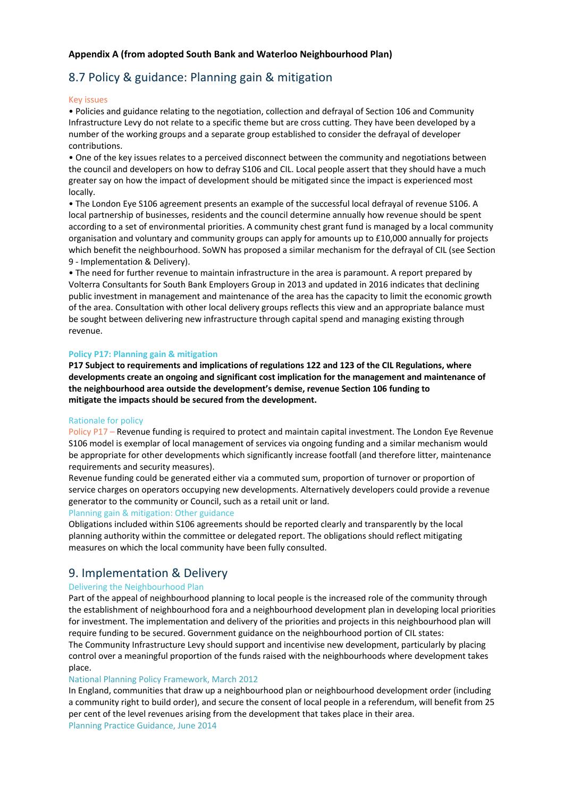### **Appendix A (from adopted South Bank and Waterloo Neighbourhood Plan)**

# 8.7 Policy & guidance: Planning gain & mitigation

#### Key issues

• Policies and guidance relating to the negotiation, collection and defrayal of Section 106 and Community Infrastructure Levy do not relate to a specific theme but are cross cutting. They have been developed by a number of the working groups and a separate group established to consider the defrayal of developer contributions.

• One of the key issues relates to a perceived disconnect between the community and negotiations between the council and developers on how to defray S106 and CIL. Local people assert that they should have a much greater say on how the impact of development should be mitigated since the impact is experienced most locally.

• The London Eye S106 agreement presents an example of the successful local defrayal of revenue S106. A local partnership of businesses, residents and the council determine annually how revenue should be spent according to a set of environmental priorities. A community chest grant fund is managed by a local community organisation and voluntary and community groups can apply for amounts up to £10,000 annually for projects which benefit the neighbourhood. SoWN has proposed a similar mechanism for the defrayal of CIL (see Section 9 - Implementation & Delivery).

• The need for further revenue to maintain infrastructure in the area is paramount. A report prepared by Volterra Consultants for South Bank Employers Group in 2013 and updated in 2016 indicates that declining public investment in management and maintenance of the area has the capacity to limit the economic growth of the area. Consultation with other local delivery groups reflects this view and an appropriate balance must be sought between delivering new infrastructure through capital spend and managing existing through revenue.

#### **Policy P17: Planning gain & mitigation**

**P17 Subject to requirements and implications of regulations 122 and 123 of the CIL Regulations, where developments create an ongoing and significant cost implication for the management and maintenance of the neighbourhood area outside the development's demise, revenue Section 106 funding to mitigate the impacts should be secured from the development.**

#### Rationale for policy

Policy P17 – Revenue funding is required to protect and maintain capital investment. The London Eye Revenue S106 model is exemplar of local management of services via ongoing funding and a similar mechanism would be appropriate for other developments which significantly increase footfall (and therefore litter, maintenance requirements and security measures).

Revenue funding could be generated either via a commuted sum, proportion of turnover or proportion of service charges on operators occupying new developments. Alternatively developers could provide a revenue generator to the community or Council, such as a retail unit or land.

#### Planning gain & mitigation: Other guidance

Obligations included within S106 agreements should be reported clearly and transparently by the local planning authority within the committee or delegated report. The obligations should reflect mitigating measures on which the local community have been fully consulted.

# 9. Implementation & Delivery

#### Delivering the Neighbourhood Plan

Part of the appeal of neighbourhood planning to local people is the increased role of the community through the establishment of neighbourhood fora and a neighbourhood development plan in developing local priorities for investment. The implementation and delivery of the priorities and projects in this neighbourhood plan will require funding to be secured. Government guidance on the neighbourhood portion of CIL states: The Community Infrastructure Levy should support and incentivise new development, particularly by placing control over a meaningful proportion of the funds raised with the neighbourhoods where development takes place.

### National Planning Policy Framework, March 2012

In England, communities that draw up a neighbourhood plan or neighbourhood development order (including a community right to build order), and secure the consent of local people in a referendum, will benefit from 25 per cent of the level revenues arising from the development that takes place in their area. Planning Practice Guidance, June 2014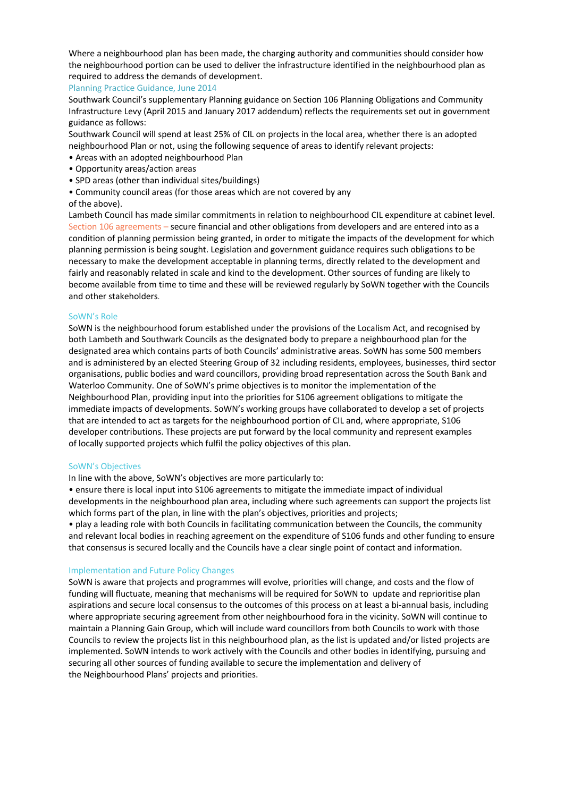Where a neighbourhood plan has been made, the charging authority and communities should consider how the neighbourhood portion can be used to deliver the infrastructure identified in the neighbourhood plan as required to address the demands of development.

#### Planning Practice Guidance, June 2014

Southwark Council's supplementary Planning guidance on Section 106 Planning Obligations and Community Infrastructure Levy (April 2015 and January 2017 addendum) reflects the requirements set out in government guidance as follows:

Southwark Council will spend at least 25% of CIL on projects in the local area, whether there is an adopted neighbourhood Plan or not, using the following sequence of areas to identify relevant projects:

- Areas with an adopted neighbourhood Plan
- Opportunity areas/action areas
- SPD areas (other than individual sites/buildings)
- Community council areas (for those areas which are not covered by any

#### of the above).

Lambeth Council has made similar commitments in relation to neighbourhood CIL expenditure at cabinet level. Section 106 agreements – secure financial and other obligations from developers and are entered into as a condition of planning permission being granted, in order to mitigate the impacts of the development for which planning permission is being sought. Legislation and government guidance requires such obligations to be necessary to make the development acceptable in planning terms, directly related to the development and fairly and reasonably related in scale and kind to the development. Other sources of funding are likely to become available from time to time and these will be reviewed regularly by SoWN together with the Councils and other stakeholders.

#### SoWN's Role

SoWN is the neighbourhood forum established under the provisions of the Localism Act, and recognised by both Lambeth and Southwark Councils as the designated body to prepare a neighbourhood plan for the designated area which contains parts of both Councils' administrative areas. SoWN has some 500 members and is administered by an elected Steering Group of 32 including residents, employees, businesses, third sector organisations, public bodies and ward councillors, providing broad representation across the South Bank and Waterloo Community. One of SoWN's prime objectives is to monitor the implementation of the Neighbourhood Plan, providing input into the priorities for S106 agreement obligations to mitigate the immediate impacts of developments. SoWN's working groups have collaborated to develop a set of projects that are intended to act as targets for the neighbourhood portion of CIL and, where appropriate, S106 developer contributions. These projects are put forward by the local community and represent examples of locally supported projects which fulfil the policy objectives of this plan.

#### SoWN's Objectives

In line with the above, SoWN's objectives are more particularly to:

• ensure there is local input into S106 agreements to mitigate the immediate impact of individual developments in the neighbourhood plan area, including where such agreements can support the projects list which forms part of the plan, in line with the plan's objectives, priorities and projects;

• play a leading role with both Councils in facilitating communication between the Councils, the community and relevant local bodies in reaching agreement on the expenditure of S106 funds and other funding to ensure that consensus is secured locally and the Councils have a clear single point of contact and information.

#### Implementation and Future Policy Changes

SoWN is aware that projects and programmes will evolve, priorities will change, and costs and the flow of funding will fluctuate, meaning that mechanisms will be required for SoWN to update and reprioritise plan aspirations and secure local consensus to the outcomes of this process on at least a bi-annual basis, including where appropriate securing agreement from other neighbourhood fora in the vicinity. SoWN will continue to maintain a Planning Gain Group, which will include ward councillors from both Councils to work with those Councils to review the projects list in this neighbourhood plan, as the list is updated and/or listed projects are implemented. SoWN intends to work actively with the Councils and other bodies in identifying, pursuing and securing all other sources of funding available to secure the implementation and delivery of the Neighbourhood Plans' projects and priorities.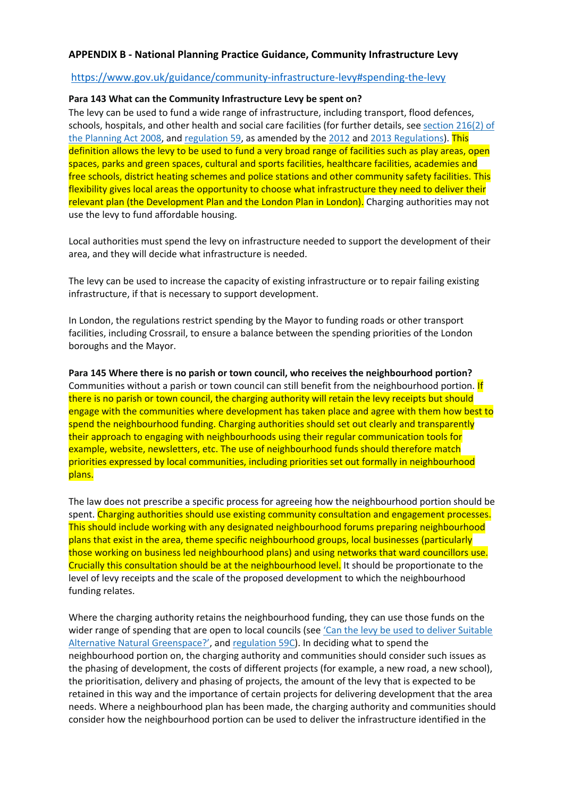### **APPENDIX B - National Planning Practice Guidance, Community Infrastructure Levy**

### https://www.gov.uk/guidance/community-infrastructure-levy#spending-the-levy

### **Para 143 What can the Community Infrastructure Levy be spent on?**

The levy can be used to fund a wide range of infrastructure, including transport, flood defences, schools, hospitals, and other health and social care facilities (for further details, see section 216(2) of the Planning Act 2008, and regulation 59, as amended by the 2012 and 2013 Regulations). This definition allows the levy to be used to fund a very broad range of facilities such as play areas, open spaces, parks and green spaces, cultural and sports facilities, healthcare facilities, academies and free schools, district heating schemes and police stations and other community safety facilities. This flexibility gives local areas the opportunity to choose what infrastructure they need to deliver their relevant plan (the Development Plan and the London Plan in London). Charging authorities may not use the levy to fund affordable housing.

Local authorities must spend the levy on infrastructure needed to support the development of their area, and they will decide what infrastructure is needed.

The levy can be used to increase the capacity of existing infrastructure or to repair failing existing infrastructure, if that is necessary to support development.

In London, the regulations restrict spending by the Mayor to funding roads or other transport facilities, including Crossrail, to ensure a balance between the spending priorities of the London boroughs and the Mayor.

**Para 145 Where there is no parish or town council, who receives the neighbourhood portion?** Communities without a parish or town council can still benefit from the neighbourhood portion. If there is no parish or town council, the charging authority will retain the levy receipts but should engage with the communities where development has taken place and agree with them how best to spend the neighbourhood funding. Charging authorities should set out clearly and transparently their approach to engaging with neighbourhoods using their regular communication tools for example, website, newsletters, etc. The use of neighbourhood funds should therefore match priorities expressed by local communities, including priorities set out formally in neighbourhood plans.

The law does not prescribe a specific process for agreeing how the neighbourhood portion should be spent. Charging authorities should use existing community consultation and engagement processes. This should include working with any designated neighbourhood forums preparing neighbourhood plans that exist in the area, theme specific neighbourhood groups, local businesses (particularly those working on business led neighbourhood plans) and using networks that ward councillors use. Crucially this consultation should be at the neighbourhood level. It should be proportionate to the level of levy receipts and the scale of the proposed development to which the neighbourhood funding relates.

Where the charging authority retains the neighbourhood funding, they can use those funds on the wider range of spending that are open to local councils (see 'Can the levy be used to deliver Suitable Alternative Natural Greenspace?', and regulation 59C). In deciding what to spend the neighbourhood portion on, the charging authority and communities should consider such issues as the phasing of development, the costs of different projects (for example, a new road, a new school), the prioritisation, delivery and phasing of projects, the amount of the levy that is expected to be retained in this way and the importance of certain projects for delivering development that the area needs. Where a neighbourhood plan has been made, the charging authority and communities should consider how the neighbourhood portion can be used to deliver the infrastructure identified in the